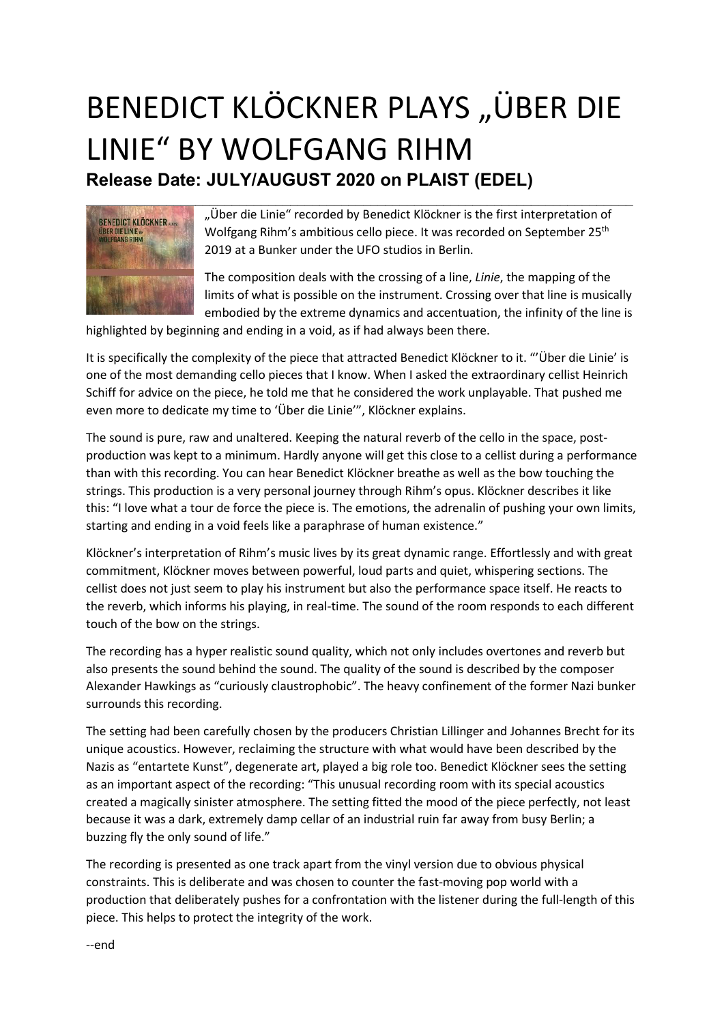## BENEDICT KLÖCKNER PLAYS "ÜBER DIE LINIE" BY WOLFGANG RIHM Release Date: JULY/AUGUST 2020 on PLAIST (EDEL)



"Über die Linie" recorded by Benedict Klöckner is the first interpretation of Wolfgang Rihm's ambitious cello piece. It was recorded on September 25<sup>th</sup> 2019 at a Bunker under the UFO studios in Berlin.

The composition deals with the crossing of a line, Linie, the mapping of the limits of what is possible on the instrument. Crossing over that line is musically embodied by the extreme dynamics and accentuation, the infinity of the line is

highlighted by beginning and ending in a void, as if had always been there.

It is specifically the complexity of the piece that attracted Benedict Klöckner to it. "'Über die Linie' is one of the most demanding cello pieces that I know. When I asked the extraordinary cellist Heinrich Schiff for advice on the piece, he told me that he considered the work unplayable. That pushed me even more to dedicate my time to 'Über die Linie'", Klöckner explains.

The sound is pure, raw and unaltered. Keeping the natural reverb of the cello in the space, postproduction was kept to a minimum. Hardly anyone will get this close to a cellist during a performance than with this recording. You can hear Benedict Klöckner breathe as well as the bow touching the strings. This production is a very personal journey through Rihm's opus. Klöckner describes it like this: "I love what a tour de force the piece is. The emotions, the adrenalin of pushing your own limits, starting and ending in a void feels like a paraphrase of human existence."

Klöckner's interpretation of Rihm's music lives by its great dynamic range. Effortlessly and with great commitment, Klöckner moves between powerful, loud parts and quiet, whispering sections. The cellist does not just seem to play his instrument but also the performance space itself. He reacts to the reverb, which informs his playing, in real-time. The sound of the room responds to each different touch of the bow on the strings.

The recording has a hyper realistic sound quality, which not only includes overtones and reverb but also presents the sound behind the sound. The quality of the sound is described by the composer Alexander Hawkings as "curiously claustrophobic". The heavy confinement of the former Nazi bunker surrounds this recording.

The setting had been carefully chosen by the producers Christian Lillinger and Johannes Brecht for its unique acoustics. However, reclaiming the structure with what would have been described by the Nazis as "entartete Kunst", degenerate art, played a big role too. Benedict Klöckner sees the setting as an important aspect of the recording: "This unusual recording room with its special acoustics created a magically sinister atmosphere. The setting fitted the mood of the piece perfectly, not least because it was a dark, extremely damp cellar of an industrial ruin far away from busy Berlin; a buzzing fly the only sound of life."

The recording is presented as one track apart from the vinyl version due to obvious physical constraints. This is deliberate and was chosen to counter the fast-moving pop world with a production that deliberately pushes for a confrontation with the listener during the full-length of this piece. This helps to protect the integrity of the work.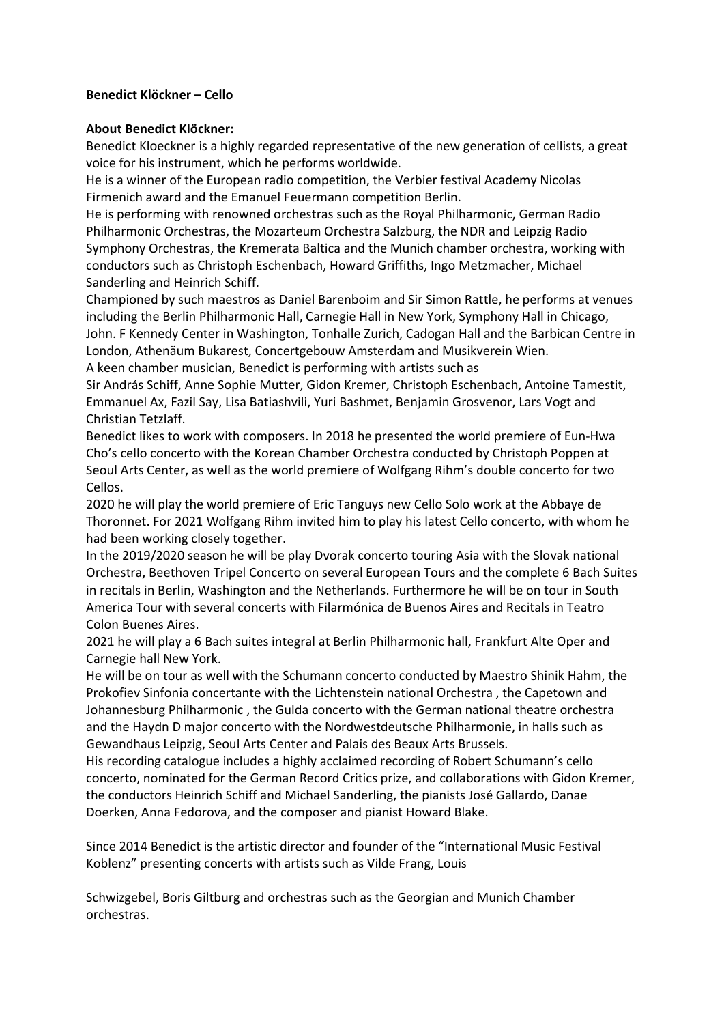## Benedict Klöckner – Cello

## About Benedict Klöckner:

Benedict Kloeckner is a highly regarded representative of the new generation of cellists, a great voice for his instrument, which he performs worldwide.

He is a winner of the European radio competition, the Verbier festival Academy Nicolas Firmenich award and the Emanuel Feuermann competition Berlin.

He is performing with renowned orchestras such as the Royal Philharmonic, German Radio Philharmonic Orchestras, the Mozarteum Orchestra Salzburg, the NDR and Leipzig Radio Symphony Orchestras, the Kremerata Baltica and the Munich chamber orchestra, working with conductors such as Christoph Eschenbach, Howard Griffiths, Ingo Metzmacher, Michael Sanderling and Heinrich Schiff.

Championed by such maestros as Daniel Barenboim and Sir Simon Rattle, he performs at venues including the Berlin Philharmonic Hall, Carnegie Hall in New York, Symphony Hall in Chicago, John. F Kennedy Center in Washington, Tonhalle Zurich, Cadogan Hall and the Barbican Centre in London, Athenäum Bukarest, Concertgebouw Amsterdam and Musikverein Wien. A keen chamber musician, Benedict is performing with artists such as

Sir András Schiff, Anne Sophie Mutter, Gidon Kremer, Christoph Eschenbach, Antoine Tamestit, Emmanuel Ax, Fazil Say, Lisa Batiashvili, Yuri Bashmet, Benjamin Grosvenor, Lars Vogt and Christian Tetzlaff.

Benedict likes to work with composers. In 2018 he presented the world premiere of Eun-Hwa Cho's cello concerto with the Korean Chamber Orchestra conducted by Christoph Poppen at Seoul Arts Center, as well as the world premiere of Wolfgang Rihm's double concerto for two Cellos.

2020 he will play the world premiere of Eric Tanguys new Cello Solo work at the Abbaye de Thoronnet. For 2021 Wolfgang Rihm invited him to play his latest Cello concerto, with whom he had been working closely together.

In the 2019/2020 season he will be play Dvorak concerto touring Asia with the Slovak national Orchestra, Beethoven Tripel Concerto on several European Tours and the complete 6 Bach Suites in recitals in Berlin, Washington and the Netherlands. Furthermore he will be on tour in South America Tour with several concerts with Filarmónica de Buenos Aires and Recitals in Teatro Colon Buenes Aires.

2021 he will play a 6 Bach suites integral at Berlin Philharmonic hall, Frankfurt Alte Oper and Carnegie hall New York.

He will be on tour as well with the Schumann concerto conducted by Maestro Shinik Hahm, the Prokofiev Sinfonia concertante with the Lichtenstein national Orchestra , the Capetown and Johannesburg Philharmonic , the Gulda concerto with the German national theatre orchestra and the Haydn D major concerto with the Nordwestdeutsche Philharmonie, in halls such as Gewandhaus Leipzig, Seoul Arts Center and Palais des Beaux Arts Brussels.

His recording catalogue includes a highly acclaimed recording of Robert Schumann's cello concerto, nominated for the German Record Critics prize, and collaborations with Gidon Kremer, the conductors Heinrich Schiff and Michael Sanderling, the pianists José Gallardo, Danae Doerken, Anna Fedorova, and the composer and pianist Howard Blake.

Since 2014 Benedict is the artistic director and founder of the "International Music Festival Koblenz" presenting concerts with artists such as Vilde Frang, Louis

Schwizgebel, Boris Giltburg and orchestras such as the Georgian and Munich Chamber orchestras.